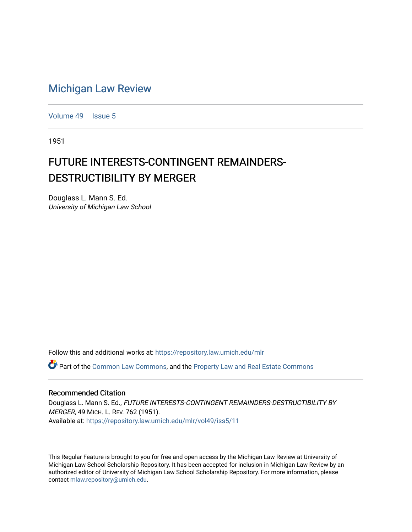## [Michigan Law Review](https://repository.law.umich.edu/mlr)

[Volume 49](https://repository.law.umich.edu/mlr/vol49) | [Issue 5](https://repository.law.umich.edu/mlr/vol49/iss5)

1951

## FUTURE INTERESTS-CONTINGENT REMAINDERS-DESTRUCTIBILITY BY MERGER

Douglass L. Mann S. Ed. University of Michigan Law School

Follow this and additional works at: [https://repository.law.umich.edu/mlr](https://repository.law.umich.edu/mlr?utm_source=repository.law.umich.edu%2Fmlr%2Fvol49%2Fiss5%2F11&utm_medium=PDF&utm_campaign=PDFCoverPages) 

Part of the [Common Law Commons,](http://network.bepress.com/hgg/discipline/1120?utm_source=repository.law.umich.edu%2Fmlr%2Fvol49%2Fiss5%2F11&utm_medium=PDF&utm_campaign=PDFCoverPages) and the [Property Law and Real Estate Commons](http://network.bepress.com/hgg/discipline/897?utm_source=repository.law.umich.edu%2Fmlr%2Fvol49%2Fiss5%2F11&utm_medium=PDF&utm_campaign=PDFCoverPages)

## Recommended Citation

Douglass L. Mann S. Ed., FUTURE INTERESTS-CONTINGENT REMAINDERS-DESTRUCTIBILITY BY MERGER, 49 MICH. L. REV. 762 (1951). Available at: [https://repository.law.umich.edu/mlr/vol49/iss5/11](https://repository.law.umich.edu/mlr/vol49/iss5/11?utm_source=repository.law.umich.edu%2Fmlr%2Fvol49%2Fiss5%2F11&utm_medium=PDF&utm_campaign=PDFCoverPages) 

This Regular Feature is brought to you for free and open access by the Michigan Law Review at University of Michigan Law School Scholarship Repository. It has been accepted for inclusion in Michigan Law Review by an authorized editor of University of Michigan Law School Scholarship Repository. For more information, please contact [mlaw.repository@umich.edu](mailto:mlaw.repository@umich.edu).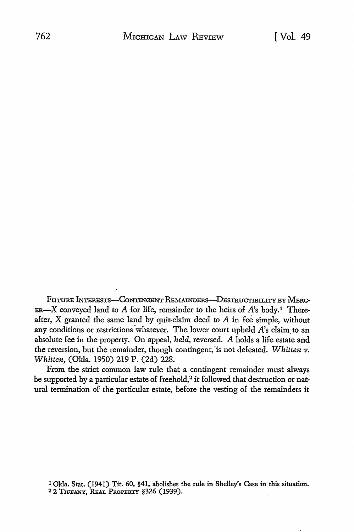Future Interests-Contingent Remainders-Destructibility by Merg-ER-X conveyed land to A for life, remainder to the heirs of  $A$ 's body.<sup>1</sup> Thereafter, X granted the same land by quit-claim deed to A in fee simple, without any conditions or restrictions whatever. The lower court upheld *A*'s claim to an absolute fee in the property. On appeal, *held,* reversed. *A* holds a life estate and the reversion, but the remainder, though contingent, 'is not defeated. *Whitten v. Whitten,* (Okla. 1950) 219 P. (2d) 228.

From the strict common law rule that a contingent remainder must always be supported by a particular estate of freehold,<sup>2</sup> it followed that destruction or natural termination of the particular estate, before the vesting of the remainders it

1 Okla. Stat. (1941) Tit. 60, §41, abolishes the rule in Shelley's Case in this situation. 2 2 TIFFANY, REAL PROPERTY §326 (1939).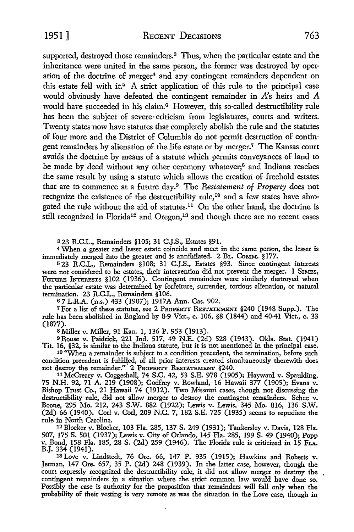1951] RECENT DECISIONS 763

supported, destroyed those remainders.3 Thus, when the particular estate and the inheritance were united in the same person, the former was destroyed by operation of the doctrine of merger<sup>4</sup> and any contingent remainders dependent on this estate fell with it.<sup>5</sup> A strict application of this rule to the principal case would obviously have defeated the contingent remainder in *A's* heirs and *A*  would have succeeded in his claim.<sup>6</sup> However, this so-called destructibility rule has been the subject of severe criticism from legislatures, courts and writers. Twenty states now have statutes that completely abolish the rule and the statutes of four more and the District of Columbia do not permit destruction of contingent remainders by alienation of the life estate or -by merger.7 The Kansas court avoids the doctrine by means of a statute which permits conveyances of land to be made by deed without any other ceremony whatever;<sup>8</sup> and Indiana reaches the same result by using a statute which allows the creation of freehold estates that are to commence at a future day.9 The *Restatement of Property* does not recognize the existence of the destructibility rule,<sup>10</sup> and a few states have abrogated the rule without the aid of statutes.<sup>11</sup> On the other hand, the doctrine is still recognized in Florida<sup>12</sup> and Oregon,<sup>13</sup> and though there are no recent cases

323 R.C.L., Remainders §105; 3f C.J.S., Estates §91.

<sup>4</sup>When a greater and lesser estate coincide and meet in the same person, the lesser is immediately merged into the greater and is annihilated. 2 BL. COMM. §177.

<sup>5</sup> 23 R.C.L., Remainders §108; 31 C.J.S., Estates §93. Since contingent interests were not considered to be estates, their intervention did not prevent the merger. 1 SIMES, FUTURE INTERESTS §102 (1936). Contingent remainders were similarly destroyed when the particular estate was determined by forfeiture, surrender, tortious alienation, or natural termination. 23 R.C.L., Remainders § 106.

<sup>6</sup>7 L.R.A. (n.s.) 433 (1907); 1917A Ann. Cas. 902.

<sup>7</sup>For a list of these statutes, see 2 PROPERTY REsTATEMENT §240 (1948 Supp.). The rule has been abolished in England by 8-9 Viet., c. 106, §8 (1844) and 40-41 Viet., c. 33 (1877).

8 Miller v. Miller, 91 Kan. **1,** 136 P. 953 (1913).

o Rouse v. Paidrick, 221 Ind. 517, 49 N.E. (2d) 528 (1943). Okla. Stat. (1941) Tit. 16, §32, is similar to the Indiana statute, but it is not mentioned in the principal case.

10 ''When a remainder is subject to a condition precedent, the termination, before such condition precedent is fulfilled, of all prior interests created simultaneously therewith does not destroy the remainder." 2 PROPERTY REsTATEMENT §240.

11 McCreary v. Coggeshall, 74 S.C. 42, 53 S.E. 978 (1905); Hayward v. Spaulding, 75 N.H. 92, 71 A. 219 (1908); Godfrey v. Rowland, 16 Hawaii 377 (1905); Evans v. Bishop Trust Co., 21 Hawaii 74 (1912). Two Missouri cases, though not discussing the destructibility rule, did not allow merger to destroy the contingent remainders. Schee v. Boone, 295 Mo. 212, 243 S.W. 882 (1922); Lewis v. Lewis, 345 Mo. 816, 136 S.W. (2d) 66 (1940). Corl v. Corl, 209 N.C. 7, 182 S.E. 725 (1935) seems to repudiate the rule in North Carolina.

12 Blocker v. Blocker, 103 Fla. 285, 137 S. 249 (1931); Tankersley v. Davis, 128 Fla. 507, 175 S. 501 (1937); Lewis v. City of Orlando, 145 Fla. 285, 199 S. 49 (1940); Popp v. Bond, 158 Fla. 185, 28 S. (2d) 259 (1946). The Florida rule is criticized in 15 Fu.

13 Love v. Lindstedt, 76 Ore. 66, 147 P. 935 (1915); Hawkins and Roberts v. Jerman, 147 Ore. 657, 35 P. (2d) 248 (1939). In the latter case, however, though the court expressly recognized the destructibility rule, it did not allow merger to destroy the contingent remainders in a situation where the strict common law would have done so. Possibly the case is authority for the proposition that remainders will fall only when the probability of their vesting is very remote as was the situation in the Love case, though in